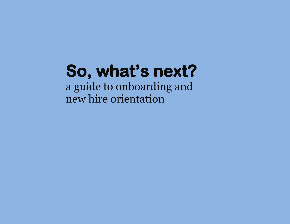a guide to onboarding and new hire orientation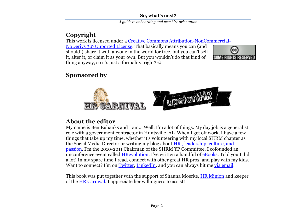# **Copyright**

This work is licensed under a [Creative Commons Attribution-NonCommercial-](http://creativecommons.org/licenses/by-nc-nd/3.0/)

[NoDerivs 3.0 Unported License.](http://creativecommons.org/licenses/by-nc-nd/3.0/) That basically means you can (and should!) share it with anyone in the world for free, but you can't sell it, alter it, or claim it as your own. But you wouldn't do that kind of thing anyway, so it's just a formality, right?  $\odot$ 



# **Sponsored by**



# **About the editor**

My name is Ben Eubanks and I am… Well, I'm a lot of things. My day job is a generalist role with a government contractor in Huntsville, AL. When I get off work, I have a few things that take up my time, whether it's volunteering with my local SHRM chapter as the Social Media Director or writing my blog about HR [, leadership, culture, and](http://upstarthr.com/first-time-here)  [passion](http://upstarthr.com/first-time-here). I'm the 2010-2011 Chairman of the SHRM YP Committee. I cofounded an unconference event called [HRevolution](http://thehrevolution.org/). I've written a handful of [eBooks.](http://upstarthr.com/freebies) Told you I did a lot! In my spare time I read, connect with other great HR pros, and play with my kids. Want to connect? I'm on [Twitter,](http://twitter.com/beneubanks) [LinkedIn,](http://linkedin.com/in/beneubanks) and you can always hit me [via email.](mailto:ben@upstarthr.com)

This book was put together with the support of Shauna Moerke, **HR Minion** and keeper of the [HR Carnival.](http://carnivalofhr.com/) I appreciate her willingness to assist!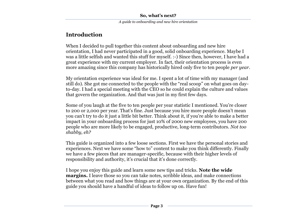# **Introduction**

When I decided to pull together this content about onboarding and new hire orientation, I had never participated in a good, solid onboarding experience. Maybe I was a little selfish and wanted this stuff for myself. :-) Since then, however, I have had a great experience with my current employer. In fact, their orientation process is even more amazing since this company has historically hired only five to ten people *per year*.

My orientation experience was ideal for me. I spent a lot of time with my manager (and still do). She got me connected to the people with the "real scoop" on what goes on dayto-day. I had a special meeting with the CEO so he could explain the culture and values that govern the organization. And that was just in my first few days.

Some of you laugh at the five to ten people per year statistic I mentioned. You're closer to 200 or 2,000 per year. That's fine. Just because you hire more people doesn't mean you can't try to do it just a little bit better. Think about it, if you're able to make a better impact in your onboarding process for just 10% of 2000 new employees, you have 200 people who are more likely to be engaged, productive, long-term contributors. *Not too shabby, eh?*

This guide is organized into a few loose sections. First we have the personal stories and experiences. Next we have some "how to" content to make you think differently. Finally we have a few pieces that are manager-specific, because with their higher levels of responsibility and authority, it's crucial that it's done correctly.

I hope you enjoy this guide and learn some new tips and tricks. **Note the wide margins.** I leave those so you can take notes, scribble ideas, and make connections between what you read and how things are at your own organization. By the end of this guide you should have a handful of ideas to follow up on. Have fun!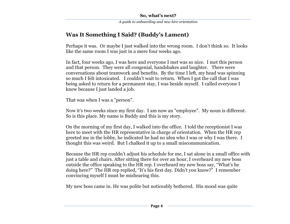# **Was It Something I Said? (Buddy's Lament)**

Perhaps it was. Or maybe I just walked into the wrong room. I don't think so. It looks like the same room I was just in a mere four weeks ago.

In fact, four weeks ago, I was here and everyone I met was so nice. I met this person and that person. They were all congenial, handshakes and laughter. There were conversations about teamwork and benefits. By the time I left, my head was spinning so much I felt intoxicated. I couldn't wait to return. When I got the call that I was being asked to return for a permanent stay, I was beside myself. I called everyone I knew because I just landed a job.

That was when I was a "person".

Now it's two weeks since my first day. I am now an "employee". My noun is different. So is this place. My name is Buddy and this is my story.

On the morning of my first day, I walked into the office. I told the receptionist I was here to meet with the HR representative in charge of orientation. When the HR rep greeted me in the lobby, he indicated he had no idea who I was or why I was there. I thought this was weird. But I chalked it up to a small miscommunication.

Because the HR rep couldn't adjust his schedule for me, I sat alone in a small office with just a table and chairs. After sitting there for over an hour, I overheard my new boss outside the office speaking to the HR rep. I overheard my new boss say, "What's he doing here?" The HR rep replied, "It's his first day. Didn't you know?" I remember convincing myself I must be mishearing this.

My new boss came in. He was polite but noticeably bothered. His mood was quite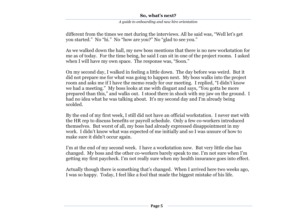*A guide to onboarding and new hire orientation*

different from the times we met during the interviews. All he said was, "Well let's get you started." No "hi." No "how are you?" No "glad to see you."

As we walked down the hall, my new boss mentions that there is no new workstation for me as of today. For the time being, he said I can sit in one of the project rooms. I asked when I will have my own space. The response was, "Soon."

On my second day, I walked in feeling a little down. The day before was weird. But it did not prepare me for what was going to happen next. My boss walks into the project room and asks me if I have the memo ready for our meeting. I replied, "I didn't know we had a meeting." My boss looks at me with disgust and says, "You gotta be more prepared than this," and walks out. I stood there in shock with my jaw on the ground. I had no idea what he was talking about. It's my second day and I'm already being scolded.

By the end of my first week, I still did not have an official workstation. I never met with the HR rep to discuss benefits or payroll schedule. Only a few co-workers introduced themselves. But worst of all, my boss had already expressed disappointment in my work. I didn't know what was expected of me initially and so I was unsure of how to make sure it didn't occur again.

I'm at the end of my second week. I have a workstation now. But very little else has changed. My boss and the other co-workers barely speak to me. I'm not sure when I'm getting my first paycheck. I'm not really sure when my health insurance goes into effect.

Actually though there is something that's changed. When I arrived here two weeks ago, I was so happy. Today, I feel like a fool that made the biggest mistake of his life.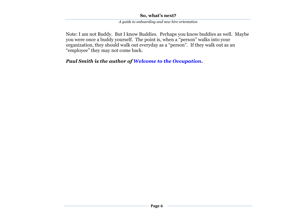*A guide to onboarding and new hire orientation*

Note: I am not Buddy. But I know Buddies. Perhaps you know buddies as well. Maybe you were once a buddy yourself. The point is, when a "person" walks into your organization, they should walk out everyday as a "person". If they walk out as an "employee" they may not come back.

*Paul Smith is the author of [Welcome to the Occupation.](http://www.welcometotheoccupation.com/)*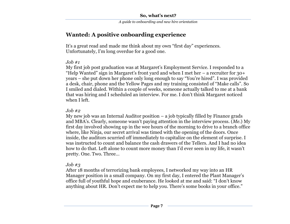# **Wanted: A positive onboarding experience**

It's a great read and made me think about my own "first day" experiences. Unfortunately, I'm long overdue for a good one.

## *Job #1*

My first job post graduation was at Margaret's Employment Service. I responded to a "Help Wanted" sign in Margaret's front yard and when I met her  $-$  a recruiter for 30+ years – she put down her phone only long enough to say "You're hired". I was provided a desk, chair, phone and the Yellow Pages and my training consisted of "Make calls". So I smiled and dialed. Within a couple of weeks, someone actually talked to me at a bank that was hiring and I scheduled an interview. For me. I don't think Margaret noticed when I left.

## *Job #2*

My new job was an Internal Auditor position – a job typically filled by Finance grads and MBA's. Clearly, someone wasn't paying attention in the interview process. (*Me.*) My first day involved showing up in the wee hours of the morning to drive to a branch office where, like Ninja, our secret arrival was timed with the opening of the doors. Once inside, the auditors scurried off immediately to capitalize on the element of surprise. I was instructed to count and balance the cash drawers of the Tellers. And I had no idea how to do that. Left alone to count more money than I'd ever seen in my life, it wasn't pretty. One. Two. Three…

## *Job #3*

After 18 months of terrorizing bank employees, I networked my way into an HR Manager position in a small company. On my first day, I entered the Plant Manager's office full of youthful hope and exuberance. He looked at me and said: "I don't know anything about HR. Don't expect me to help you. There's some books in your office."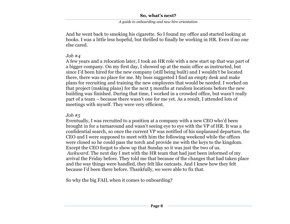And he went back to smoking his cigarette. So I found my office and started looking at books. I was a little less hopeful, but thrilled to finally be working in HR. Even if no one else cared.

## *Job #4*

A few years and a relocation later, I took an HR role with a new start up that was part of a bigger company. On my first day, I showed up at the main office as instructed, but since I'd been hired for the new company (still being built) and I wouldn't be located there, there was no place for me. My boss suggested I find an empty desk and make plans for recruiting and training the new employees that would be needed. I worked on that project (making plans) for the next 5 months at random locations before the new building was finished. During that time, I worked in a crowded office, but wasn't really part of a team – because there wasn't one for me yet. As a result, I attended lots of meetings with myself. They were very efficient.

# *Job #5*

Eventually, I was recruited to a position at a company with a new CEO who'd been brought in for a turnaround and wasn't seeing eye to eye with the VP of HR. It was a confidential search, so once the current VP was notified of his unplanned departure, the CEO and I were supposed to meet with him the following weekend while the offices were closed so he could pass the torch and provide me with the keys to the kingdom. Except the CEO forgot to show up that Sunday so it was just the two of us. *Awkward.* The next day I met with the HR team that had just been informed of my arrival the Friday before. They told me that because of the changes that had taken place and the way things were handled, they felt like outcasts. And I knew how they felt because I'd been there before. Thankfully, we were able to fix that.

So why the big FAIL when it comes to onboarding?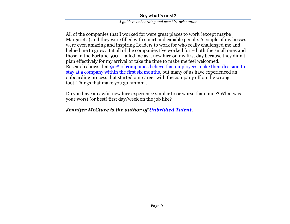*A guide to onboarding and new hire orientation*

All of the companies that I worked for were great places to work (except maybe Margaret's) and they were filled with smart and capable people. A couple of my bosses were even amazing and inspiring Leaders to work for who really challenged me and helped me to grow. But all of the companies I've worked for – both the small ones and those in the Fortune 500 – failed me as a new hire on my first day because they didn't plan effectively for my arrival or take the time to make me feel welcomed. Research shows that [90% of companies believe that employees make their decision to](http://www.hreonline.com/pdfs/10022007Extra_AberdeenReport.pdf)  [stay at a company within the first six months,](http://www.hreonline.com/pdfs/10022007Extra_AberdeenReport.pdf) but many of us have experienced an onboarding process that started our career with the company off on the wrong foot. Things that make you go hmmm…

Do you have an awful new hire experience similar to or worse than mine? What was your worst (or best) first day/week on the job like?

## *Jennifer McClure is the author of [Unbridled Talent.](http://unbridledtalent.com/)*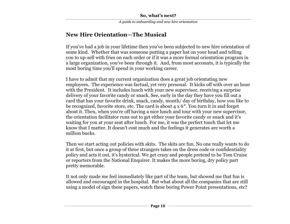# **New Hire Orientation—The Musical**

If you've had a job in your lifetime then you've been subjected to new hire orientation of some kind. Whether that was someone putting a paper hat on your head and telling you to up-sell with fries on each order or if it was a more formal orientation program in a large organization, you've been through it. And, from most accounts, it is typically the most boring time you'll spend in your working career.

I have to admit that my current organization does a great job orientating new employees. The experience was factual, yet very personal. It kicks off with over an hour with the President. It includes lunch with your new supervisor, receiving a surprise delivery of your favorite candy or snack. See, early in the day they have you fill out a card that has your favorite drink, snack, candy, month/ day of birthday, how you like to be recognized, favorite store, etc. The card is about 4 x 6″. You turn it in and forget about it. Then, when you're off having a nice lunch and tour with your new supervisor, the orientation facilitator runs out to get either your favorite candy or snack and it's waiting for you at your seat after lunch. For me, it was the perfect touch that let me know that I matter. It doesn't cost much and the feelings it generates are worth a million bucks.

Then we start acting out policies with skits. The skits are fun. No one really wants to do it at first, but once a group of three strangers takes on the dress code or confidentiality policy and acts it out, it's hysterical. We get crazy and people pretend to be Tom Cruise or reporters from the National Enquirer. It makes the more boring, dry policy part pretty memorable.

It not only made me feel immediately like part of the team, but showed me that fun is allowed and encouraged in the hospital. But what about all the companies that are still using a model of sign these papers, watch these boring Power Point presentations, etc?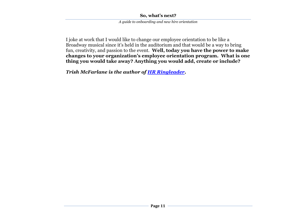*A guide to onboarding and new hire orientation*

I joke at work that I would like to change our employee orientation to be like a Broadway musical since it's held in the auditorium and that would be a way to bring fun, creativity, and passion to the event. **Well, today you have the power to make changes to your organization's employee orientation program. What is one thing you would take away? Anything you would add, create or include?**

*Trish McFarlane is the author of [HR Ringleader.](http://hrringleader.com/)*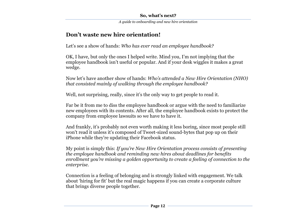# **Don't waste new hire orientation!**

Let's see a show of hands: *Who has ever read an employee handbook?*

OK, I have, but only the ones I helped write. Mind you, I'm not implying that the employee handbook isn't useful or popular. And if your desk wiggles it makes a great wedge.

Now let's have another show of hands: *Who's attended a New Hire Orientation (NHO) that consisted mainly of walking through the employee handbook?*

Well, not surprising, really, since it's the only way to get people to read it.

Far be it from me to diss the employee handbook or argue with the need to familiarize new employees with its contents. After all, the employee handbook exists to protect the company from employee lawsuits so we have to have it.

And frankly, it's probably not even worth making it less boring, since most people still won't read it unless it's composed of Tweet-sized sound-bytes that pop up on their iPhone while they're updating their Facebook status.

My point is simply this: *If you're New Hire Orientation process consists of presenting the employee handbook and reminding new hires about deadlines for benefits enrollment you're missing a golden opportunity to create a feeling of connection to the enterprise.*

Connection is a feeling of belonging and is strongly linked with engagement. We talk about 'hiring for fit' but the real magic happens if you can create a corporate culture that brings diverse people together.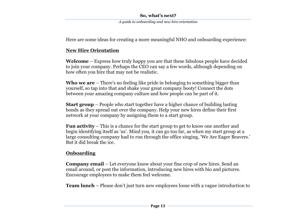*A guide to onboarding and new hire orientation*

Here are some ideas for creating a more meaningful NHO and onboarding experience:

## **New Hire Orientation**

**Welcome** – Express how truly happy you are that these fabulous people have decided to join your company. Perhaps the CEO can say a few words, although depending on how often you hire that may not be realistic.

**Who we are** – There's no feeling like pride in belonging to something bigger than yourself, so tap into that and shake your great company booty! Connect the dots between your amazing company culture and how people can be part of it.

**Start group** – People who start together have a higher chance of building lasting bonds as they spread out over the company. Help your new hires define their first network at your company by assigning them to a start group.

**Fun activity** – This is a chance for the start group to get to know one another and begin identifying itself as 'us'. Mind you, it can go too far, as when my start group at a large consulting company had to run through the office singing, 'We Are Eager Beavers.' But it did break the ice.

# **Onboarding**

**Company email** – Let everyone know about your fine crop of new hires. Send an email around, or post the information, introducing new hires with bio and pictures. Encourage employees to make them feel welcome.

**Team lunch** – Please don't just turn new employees loose with a vague introduction to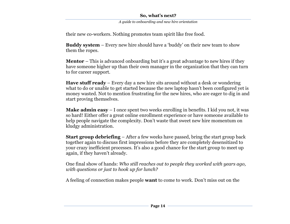*A guide to onboarding and new hire orientation*

their new co-workers. Nothing promotes team spirit like free food.

**Buddy system** – Every new hire should have a 'buddy' on their new team to show them the ropes.

**Mentor** – This is advanced onboarding but it's a great advantage to new hires if they have someone higher up than their own manager in the organization that they can turn to for career support.

**Have stuff ready** – Every day a new hire sits around without a desk or wondering what to do or unable to get started because the new laptop hasn't been configured yet is money wasted. Not to mention frustrating for the new hires, who are eager to dig in and start proving themselves.

**Make admin easy** – I once spent two weeks enrolling in benefits. I kid you not, it was so hard! Either offer a great online enrollment experience or have someone available to help people navigate the complexity. Don't waste that sweet new hire momentum on kludgy administration.

**Start group debriefing** – After a few weeks have passed, bring the start group back together again to discuss first impressions before they are completely desensitized to your crazy inefficient processes. It's also a good chance for the start group to meet up again, if they haven't already.

One final show of hands: *Who still reaches out to people they worked with years ago, with questions or just to hook up for lunch?*

A feeling of connection makes people **want** to come to work. Don't miss out on the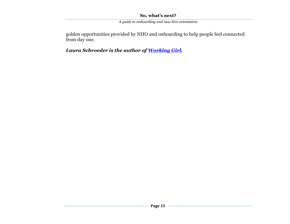*A guide to onboarding and new hire orientation*

golden opportunities provided by NHO and onboarding to help people feel connected from day one.

*Laura Schroeder is the author of [Working Girl.](http://ls-workgirl.blogspot.com/)*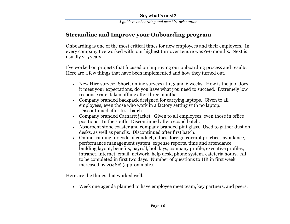# **Streamline and Improve your Onboarding program**

Onboarding is one of the most critical times for new employees and their employers. In every company I've worked with, our highest turnover tenure was 0-6 months. Next is usually 2-5 years.

I've worked on projects that focused on improving our onboarding process and results. Here are a few things that have been implemented and how they turned out.

- New Hire survey: Short, online surveys at 1, 3 and 6 weeks. How is the job, does it meet your expectations, do you have what you need to succeed. Extremely low response rate, taken offline after three months.
- Company branded backpack designed for carrying laptops. Given to all employees, even those who work in a factory setting with no laptop. Discontinued after first batch.
- Company branded Carhartt jacket. Given to all employees, even those in office positions. In the south. Discontinued after second batch.
- Absorbent stone coaster and company branded pint glass. Used to gather dust on desks, as well as pencils. Discontinued after first batch.
- Online training for code of conduct, ethics, foreign corrupt practices avoidance, performance management system, expense reports, time and attendance, building layout, benefits, payroll, holidays, company profile, executive profiles, intranet, internet, email, network, help desk, phone system, cafeteria hours. All to be completed in first two days. Number of questions to HR in first week increased by 2048% (approximate).

Here are the things that worked well.

Week one agenda planned to have employee meet team, key partners, and peers.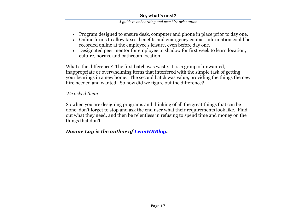#### *A guide to onboarding and new hire orientation*

- Program designed to ensure desk, computer and phone in place prior to day one.
- Online forms to allow taxes, benefits and emergency contact information could be recorded online at the employee's leisure, even before day one.
- Designated peer mentor for employee to shadow for first week to learn location, culture, norms, and bathroom location.

What's the difference? The first batch was waste. It is a group of unwanted, inappropriate or overwhelming items that interfered with the simple task of getting your bearings in a new home. The second batch was value, providing the things the new hire needed and wanted. So how did we figure out the difference?

## *We asked them.*

So when you are designing programs and thinking of all the great things that can be done, don't forget to stop and ask the end user what their requirements look like. Find out what they need, and then be relentless in refusing to spend time and money on the things that don't.

## *Dwane Lay is the author of [LeanHRBlog.](http://leanhrblog.com/)*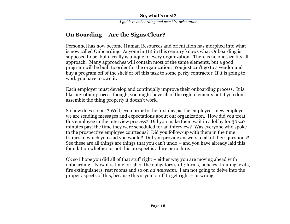# **On Boarding – Are the Signs Clear?**

Personnel has now become Human Resources and orientation has morphed into what is now called Onboarding. Anyone in HR in this century knows what Onboarding is supposed to be, but it really is unique to every organization. There is no one size fits all approach. Many approaches will contain most of the same elements, but a good program will be built to order for the organization. You just can't go to a vendor and buy a program off of the shelf or off this task to some perky contractor. If it is going to work you have to own it.

Each employer must develop and continually improve their onboarding process. It is like any other process though, you might have all of the right elements but if you don't assemble the thing properly it doesn't work.

So how does it start? Well, even prior to the first day, as the employee's new employer we are sending messages and expectations about our organization. How did you treat this employee in the interview process? Did you make them wait in a lobby for 30-40 minutes past the time they were scheduled for an interview? Was everyone who spoke to the prospective employee courteous? Did you follow-up with them in the time frames in which you said you would? Did you provide answers to all of their questions? See these are all things are things that you can't undo – and you have already laid this foundation whether or not this prospect is a hire or no hire.

Ok so I hope you did all of that stuff right – either way you are moving ahead with onboarding. Now it is time for all of the obligatory stuff; forms, policies, training, exits, fire extinguishers, rest rooms and so on *ad nauseam*. I am not going to delve into the proper aspects of this, because this is your stuff to get right – or wrong.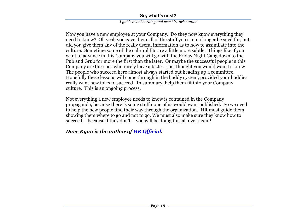#### *A guide to onboarding and new hire orientation*

Now you have a new employee at your Company. Do they now know everything they need to know? Oh yeah you gave them all of the stuff you can no longer be sued for, but did you give them any of the really useful information as to how to assimilate into the culture. Sometime some of the cultural fits are a little more subtle. Things like if you want to advance in this Company you will go with the Friday Night Gang down to the Pub and Grub for more the first than the later. Or maybe the successful people in this Company are the ones who rarely have a taste – just thought you would want to know. The people who succeed here almost always started out heading up a committee. Hopefully these lessons will come through in the buddy system, provided your buddies really want new folks to succeed. In summary, help them fit into your Company culture. This is an ongoing process.

Not everything a new employee needs to know is contained in the Company propaganda, because there is some stuff none of us would want published. So we need to help the new people find their way through the organization. HR must guide them showing them where to go and not to go. We must also make sure they know how to succeed – because if they don't – you will be doing this all over again!

# *Dave Ryan is the author of [HR Official.](http://hrofficial.com/)*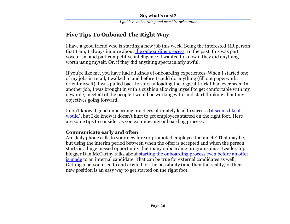# **Five Tips To Onboard The Right Way**

I have a good friend who is starting a new job this week. Being the interested HR person that I am, I always inquire about [the onboarding process.](http://www.ere.net/2008/10/03/how-the-best-onboarding-programs-work/) In the past, this was part voyeurism and part competitive intelligence. I wanted to know if they did anything worth using myself. Or, if they did anything spectacularly awful.

If you're like me, you have had all kinds of onboarding experiences. When I started one of my jobs in retail, I walked in and before I could do anything (fill out paperwork, orient myself), I was pulled back to start unloading the biggest truck I had ever seen. In another job, I was brought in with a cushion allowing myself to get comfortable with my new role, meet all of the people I would be working with, and start thinking about my objectives going forward.

I don't know if good onboarding practices ultimately lead to success (it seems like it [would](http://hbr.org/product/first-90-days-critical-success-strategies-for-new-/an/1105-HBK-ENG)), but I do know it doesn't hurt to get employees started on the right foot. Here are some tips to consider as you examine any onboarding process:

# **Communicate early and often**

Are daily phone calls to your new hire or promoted employee too much? That may be, but using the interim period between when the offer is accepted and when the person starts is a huge missed opportunity that many onboarding programs miss. Leadership blogger Dan McCarthy talks about [starting the onboarding process even before an offer](http://www.greatleadershipbydan.com/2010/06/how-to-onboard-new-manager.html)  [is made](http://www.greatleadershipbydan.com/2010/06/how-to-onboard-new-manager.html) to an internal candidate. That can be true for external candidates as well. Getting a person used to and excited for the possibility (and then the reality) of their new position is an easy way to get started on the right foot.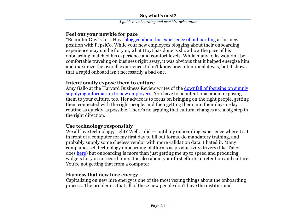# **Feel out your newbie for pace**

"Recruiter Guy" Chris Hoyt [blogged about his experience of onboarding](http://www.recruiterguy.net/general/onboarding-at-pepsico.html) at his new position with PepsiCo. While your new employees blogging about their onboarding experience may not be for you, what Hoyt has done is show how the pace of his onboarding matched his experience and comfort levels. While many folks wouldn't be comfortable traveling on business right away, it was obvious that it helped energize him and maximize the overall experience. I don't know how intentional it was, but it shows that a rapid onboard isn't necessarily a bad one.

# **Intentionally expose them to culture**

Amy Gallo at the Harvard Business Review writes of the [downfall of focusing on simply](http://blogs.hbr.org/hmu/2010/04/make-your-new-hire-immediately.html)  [supplying information to new employees.](http://blogs.hbr.org/hmu/2010/04/make-your-new-hire-immediately.html) You have to be intentional about exposing them to your culture, too. Her advice is to focus on bringing on the right people, getting them connected with the right people, and then getting them into their day-to-day routine as quickly as possible. There's no arguing that cultural changes are a big step in the right direction.

# **Use technology responsibly**

We all love technology, right? Well, I did — until my onboarding experience where I sat in front of a computer for my first day to fill out forms, do mandatory training, and probably supply some clueless vendor with more validation data. I hated it. Many companies sell technology onboarding platforms as productivity drivers (like Taleo does [here\)](http://www.taleo.com/talent-management-blog.php/2009/03/26/onboarding_delivers_more_productivity_lo) but onboarding is more than just getting me up to speed and producing widgets for you in record time. It is also about your first efforts in retention and culture. You're not getting that from a computer.

# **Harness that new hire energy**

Capitalizing on new hire energy is one of the most vexing things about the onboarding process. The problem is that all of these new people don't have the institutional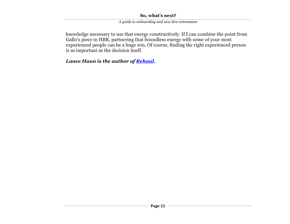*A guide to onboarding and new hire orientation*

knowledge necessary to use that energy constructively. If I can combine the point from Gallo's piece in HBR, partnering that boundless energy with some of your most experienced people can be a huge win. Of course, finding the right experienced person is as important as the decision itself.

*Lance Haun is the author of [Rehaul.](http://rehaul.com/)*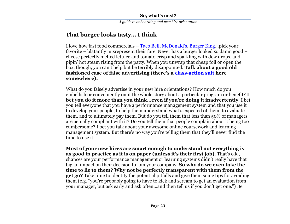# **That burger looks tasty… I think**

I love how fast food commercials – [Taco Bell,](http://www.tacobell.com/) [McDonald's](http://www.mcdonalds.com/us/en/home.html), [Burger King](http://www.bk.com/en/us/index.html)…pick your favorite – blatantly misrepresent their fare. Never has a burger looked so damn good – cheese perfectly melted lettuce and tomato crisp and sparkling with dew drops, and pipin' hot steam rising from the patty. When you unwrap that cheap foil or open the box, though, you can't help but be terribly disappointed. **Talk about a good old fashioned case of false advertising (there's a [class-action suit](http://en.wikipedia.org/wiki/Class_action) here somewhere).**

What do you falsely advertise in your new hire orientations? How much do you embellish or conveniently omit the whole story about a particular program or benefit? **I bet you do it more than you think…even if you're doing it inadvertently**. I bet you tell everyone that you have a performance management system and that you use it to develop your people, to help them understand what's expected of them, to evaluate them, and to ultimately pay them. But do you tell them that less than 50% of managers are actually compliant with it? Do you tell them that people complain about it being too cumbersome? I bet you talk about your awesome online coursework and learning management system. But there's no way you're telling them that they'll never find the time to use it.

**Most of your new hires are smart enough to understand not everything is as good in practice as it is on paper (unless it's their first job)**. That's o.k., chances are your performance management or learning systems didn't really have that big an impact on their decision to join your company. **So why do we even take the time to lie to them? Why not be perfectly transparent with them from the get go?** Take time to identify the potential pitfalls and give them some tips for avoiding them (e.g. "you're probably going to have to kick and scream to get an evaluation from your manager, but ask early and ask often...and then tell us if you don't get one.") Be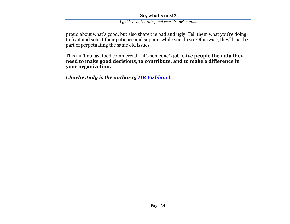*A guide to onboarding and new hire orientation*

proud about what's good, but also share the bad and ugly. Tell them what you're doing to fix it and solicit their patience and support while you do so. Otherwise, they'll just be part of perpetuating the same old issues.

This ain't no fast food commercial – it's someone's job. **Give people the data they need to make good decisions, to contribute, and to make a difference in your organization.**

*Charlie Judy is the author of [HR Fishbowl.](http://hrfishbowl.com/)*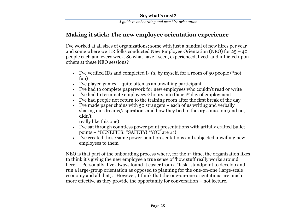# **Making it stick: The new employee orientation experience**

I've worked at all sizes of organizations; some with just a handful of new hires per year and some where we HR folks conducted New Employee Orientation (NEO) for  $25 - 40$ people each and every week. So what have I seen, experienced, lived, and inflicted upon others at these NEO sessions?

- I've verified IDs and completed I-9's, by myself, for a room of 50 people (\*not fun)
- I've played games quite often as an unwilling participant
- I've had to complete paperwork for new employees who couldn't read or write
- $\bullet$  I've had to terminate employees 2 hours into their 1<sup>st</sup> day of employment
- I've had people not return to the training room after the first break of the day
- I've made paper chains with 50 strangers each of us writing and verbally sharing our dreams/aspirations and how they tied to the org's mission (and no, I didn't

really like this one)

- I've sat through countless power point presentations with artfully crafted bullet points – \*BENEFITS! \*SAFETY! \*YOU are #1!
- I've created those same power point presentations and subjected unwilling new employees to them

NEO is that part of the onboarding process where, for the 1st time, the organization likes to think it's giving the new employee a true sense of 'how stuff really works around here.' Personally, I've always found it easier from a "task" standpoint to develop and run a large-group orientation as opposed to planning for the one-on-one (large-scale economy and all that). However, I think that the one-on-one orientations are much more effective as they provide the opportunity for conversation – not lecture.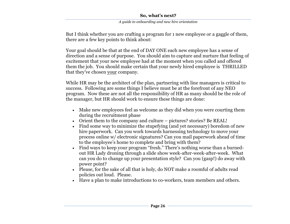*A guide to onboarding and new hire orientation*

But I think whether you are crafting a program for 1 new employee or a gaggle of them, there are a few key points to think about:

Your goal should be that at the end of DAY ONE each new employee has a sense of direction and a sense of purpose. You should aim to capture and nurture that feeling of excitement that your new employee had at the moment when you called and offered them the job. You should make certain that your newly hired employee is THRILLED that they've chosen your company.

While HR may be the architect of the plan, partnering with line managers is critical to success. Following are some things I believe must be at the forefront of any NEO program. Now these are not all the responsibility of HR as many should be the role of the manager, but HR should work to ensure these things are done:

- Make new employees feel as welcome as they did when you were courting them during the recruitment phase
- Orient them to the company and culture pictures? stories? Be REAL!
- Find some way to minimize the stupefying (and yet necessary) boredom of new hire paperwork. Can you work towards harnessing technology to move your process online w/ electronic signatures? Can you mail paperwork ahead of time to the employee's home to complete and bring with them?
- Find ways to keep your program "fresh." There's nothing worse than a burnedout HR Lady droning through a slide show week-after-week-after-week. What can you do to change up your presentation style? Can you (gasp!) do away with power point?
- Please, for the sake of all that is holy, do NOT make a roomful of adults read policies out loud. Please.
- Have a plan to make introductions to co-workers, team members and others.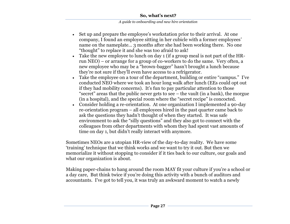#### *A guide to onboarding and new hire orientation*

- Set up and prepare the employee's workstation prior to their arrival. At one company, I found an employee sitting in her cubicle with a former employees' name on the nameplate… 3 months after she had been working there. No one "thought" to replace it and she was too afraid to ask!
- Take the new employee to lunch on day 1 (if a group meal is not part of the HRrun NEO) – or arrange for a group of co-workers to do the same. Very often, a new employee who may be a "brown-bagger" hasn't brought a lunch because they're not sure if they'll even have access to a refrigerator.
- Take the employee on a tour of the department, building or entire "campus." I've conducted NEO where we took an hour long walk after lunch (EEs could opt out if they had mobility concerns). It's fun to pay particular attention to those "secret" areas that the public never gets to see  $-$  the vault (in a bank), the morgue (in a hospital), and the special room where the "secret recipe" is concocted.
- Consider holding a re-orientation. At one organization I implemented a 90-day re-orientation program – all employees hired in the past quarter came back to ask the questions they hadn't thought of when they started. It was safe environment to ask the "silly questions" and they also got to connect with the colleagues from other departments with whom they had spent vast amounts of time on day 1, but didn't really interact with anymore.

Sometimes NEOs are a utopian HR-view of the day-to-day reality. We have some ‗training' technique that we think works and we want to try it out. But then we memorialize it without stopping to consider if it ties back to our culture, our goals and what our organization is about.

Making paper-chains to hang around the room MAY fit your culture if you're a school or a day care, But think twice if you're doing this activity with a bunch of auditors and accountants. I've got to tell you, it was truly an awkward moment to watch a newly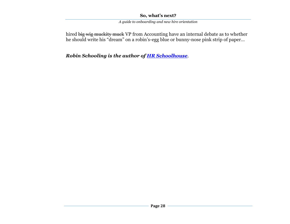*A guide to onboarding and new hire orientation*

hired big wig muckity muck VP from Accounting have an internal debate as to whether he should write his "dream" on a robin's-egg blue or bunny-nose pink strip of paper...

*Robin Schooling is the author of [HR Schoolhouse](http://hrschoolhouse.wordpress.com/)*.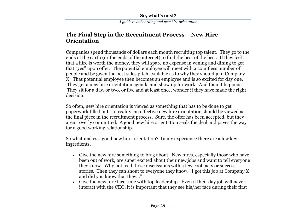# **The Final Step in the Recruitment Process – New Hire Orientation**

Companies spend thousands of dollars each month recruiting top talent. They go to the ends of the earth (or the ends of the internet) to find the best of the best. If they feel that a hire is worth the money, they will spare no expense in wining and dining to get that "yes" upon offer. The potential employee will meet with a countless number of people and be given the best sales pitch available as to why they should join Company X. That potential employee then becomes an employee and is so excited for day one. They get a new hire orientation agenda and show up for work. And then it happens. They sit for a day, or two, or five and at least once, wonder if they have made the right decision.

So often, new hire orientation is viewed as something that has to be done to get paperwork filled out. In reality, an effective new hire orientation should be viewed as the final piece in the recruitment process. Sure, the offer has been accepted, but they aren't overly committed. A good new hire orientation seals the deal and paves the way for a good working relationship.

So what makes a good new hire orientation? In my experience there are a few key ingredients.

- Give the new hire something to brag about. New hires, especially those who have been out of work, are super excited about their new jobs and want to tell everyone they know. Why not feed those discussions with a few cool facts or success stories. Then they can shout to everyone they know, "I got this job at Company X and did you know that they..."
- Give the new hire face time with top leadership. Even if their day job will never interact with the CEO, it is important that they see his/her face during their first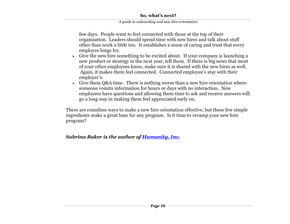#### *A guide to onboarding and new hire orientation*

few days. People want to feel connected with those at the top of their organization. Leaders should spend time with new hires and talk about stuff other than work a little too. It establishes a sense of caring and trust that every employee longs for.

- Give the new hire something to be excited about. If your company is launching a new product or strategy in the next year, tell them. If there is big news that most of your other employees know, make sure it is shared with the new hires as well. Again, it makes them feel connected. Connected employee's stay with their employer's.
- Give them Q&A time. There is nothing worse than a new hire orientation where someone vomits information for hours or days with no interaction. New employees have questions and allowing them time to ask and receive answers will go a long way in making them feel appreciated early on.

There are countless ways to make a new hire orientation effective, but these few simple ingredients make a great base for any program. Is it time to revamp your new hire program?

# *Sabrina Baker is the author of [Humanity, Inc.](http://humanityinc.wordpress.com/)*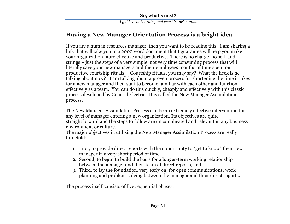# **Having a New Manager Orientation Process is a bright idea**

If you are a human resources manager, then you want to be reading this. I am sharing a link that will take you to a 2000 word document that I guarantee will help you make your organization more effective and productive. There is no charge, no sell, and strings – just the steps of a very simple, not very time consuming process that will literally save your new managers and their employees months of time spent on productive courtship rituals. Courtship rituals, you may say? What the heck is he talking about now? I am talking about a proven process for shortening the time it takes for a new manager and their staff to become familiar with each other and function effectively as a team. You can do this quickly, cheaply and effectively with this classic process developed by General Electric. It is called the New Manager Assimilation process.

The New Manager Assimilation Process can be an extremely effective intervention for any level of manager entering a new organization. Its objectives are quite straightforward and the steps to follow are uncomplicated and relevant in any business environment or culture.

The major objectives in utilizing the New Manager Assimilation Process are really threefold:

- 1. First, to provide direct reports with the opportunity to "get to know" their new manager in a very short period of time.
- 2. Second, to begin to build the basis for a longer-term working relationship between the manager and their team of direct reports, and
- 3. Third, to lay the foundation, very early on, for open communications, work planning and problem-solving between the manager and their direct reports.

The process itself consists of five sequential phases: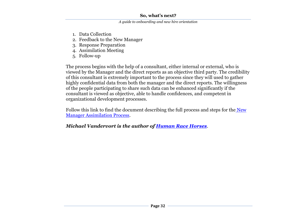*A guide to onboarding and new hire orientation*

- 1. Data Collection
- 2. Feedback to the New Manager
- 3. Response Preparation
- 4. Assimilation Meeting
- 5. Follow-up

The process begins with the help of a consultant, either internal or external, who is viewed by the Manager and the direct reports as an objective third party. The credibility of this consultant is extremely important to the process since they will used to gather highly confidential data from both the manager and the direct reports. The willingness of the people participating to share such data can be enhanced significantly if the consultant is viewed as objective, able to handle confidences, and competent in organizational development processes.

Follow this link to find the document describing the full process and steps for the New [Manager Assimilation Process.](https://docs.google.com/Doc?docid=0AW2MxkbTtBZjZDZ2aGJyM183NTRkZjVneDRkcA&hl=en)

# *Michael Vandervort is the author of [Human Race Horses](http://thehumanracehorses.com/)*.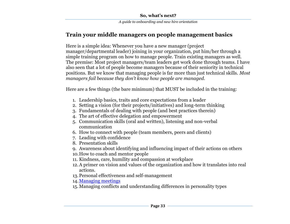# **Train your middle managers on people management basics**

Here is a simple idea: Whenever you have a new manager (project manager/departmental leader) joining in your organization, put him/her through a simple training program on how to manage people. Train existing managers as well. The premise: Most project managers/team leaders get work done through teams. I have also seen that a lot of people become managers because of their seniority in technical positions. But we know that managing people is far more than just technical skills. *Most managers fail because they don't know how people are managed.*

Here are a few things (the bare minimum) that MUST be included in the training:

- 1. Leadership basics, traits and core expectations from a leader
- 2. Setting a vision (for their projects/initiatives) and long-term thinking
- 3. Fundamentals of dealing with people (and best practices therein)
- 4. The art of effective delegation and empowerment
- 5. Communication skills (oral and written), listening and non-verbal communication
- 6. How to connect with people (team members, peers and clients)
- 7. Leading with confidence
- 8. Presentation skills
- 9. Awareness about identifying and influencing impact of their actions on others
- 10.How to coach and mentor people
- 11. Kindness, care, humility and compassion at workplace
- 12.A primer on vision and values of the organization and how it translates into real actions.
- 13.Personal effectiveness and self-management

14[.Managing meetings](http://qaspire.com/blog/2009/05/29/25-lessons-learnt-on-conducting-productive-meetings/)

15. Managing conflicts and understanding differences in personality types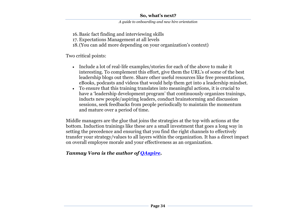16.Basic fact finding and interviewing skills

17. Expectations Management at all levels

18.(You can add more depending on your organization's context)

Two critical points:

- Include a lot of real-life examples/stories for each of the above to make it interesting. To complement this effort, give them the URL's of some of the best leadership blogs out there. Share other useful resources like free presentations, eBooks, podcasts and videos that would help them get into a leadership mindset.
- To ensure that this training translates into meaningful actions, it is crucial to have a 'leadership development program' that continuously organizes trainings, inducts new people/aspiring leaders, conduct brainstorming and discussion sessions, seek feedbacks from people periodically to maintain the momentum and mature over a period of time.

Middle managers are the glue that joins the strategies at the top with actions at the bottom. Induction trainings like these are a small investment that goes a long way in setting the precedence and ensuring that you find the right channels to effectively transfer your strategy/values to all layers within the organization. It has a direct impact on overall employee morale and your effectiveness as an organization.

# *Tanmay Vora is the author of [QAspire.](http://www.qaspire.com/blog)*